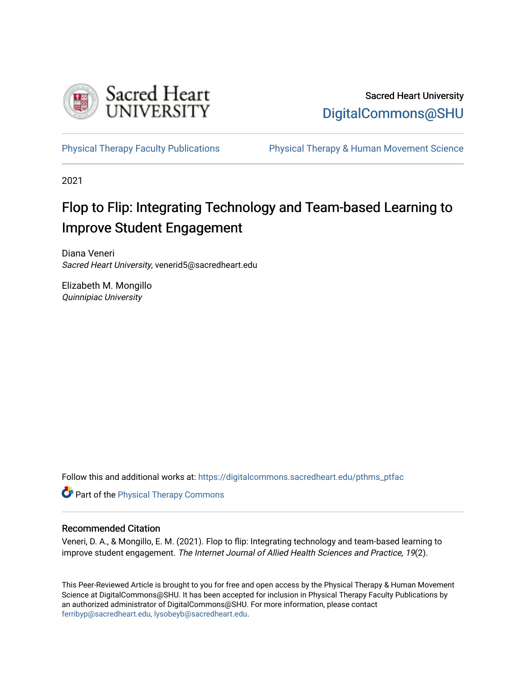

# Sacred Heart University [DigitalCommons@SHU](https://digitalcommons.sacredheart.edu/)

[Physical Therapy Faculty Publications](https://digitalcommons.sacredheart.edu/pthms_ptfac) [Physical Therapy & Human Movement Science](https://digitalcommons.sacredheart.edu/pthms) 

2021

# Flop to Flip: Integrating Technology and Team-based Learning to Improve Student Engagement

Diana Veneri Sacred Heart University, venerid5@sacredheart.edu

Elizabeth M. Mongillo Quinnipiac University

Follow this and additional works at: [https://digitalcommons.sacredheart.edu/pthms\\_ptfac](https://digitalcommons.sacredheart.edu/pthms_ptfac?utm_source=digitalcommons.sacredheart.edu%2Fpthms_ptfac%2F64&utm_medium=PDF&utm_campaign=PDFCoverPages)

**Part of the [Physical Therapy Commons](http://network.bepress.com/hgg/discipline/754?utm_source=digitalcommons.sacredheart.edu%2Fpthms_ptfac%2F64&utm_medium=PDF&utm_campaign=PDFCoverPages)** 

# Recommended Citation

Veneri, D. A., & Mongillo, E. M. (2021). Flop to flip: Integrating technology and team-based learning to improve student engagement. The Internet Journal of Allied Health Sciences and Practice, 19(2).

This Peer-Reviewed Article is brought to you for free and open access by the Physical Therapy & Human Movement Science at DigitalCommons@SHU. It has been accepted for inclusion in Physical Therapy Faculty Publications by an authorized administrator of DigitalCommons@SHU. For more information, please contact [ferribyp@sacredheart.edu, lysobeyb@sacredheart.edu.](mailto:ferribyp@sacredheart.edu,%20lysobeyb@sacredheart.edu)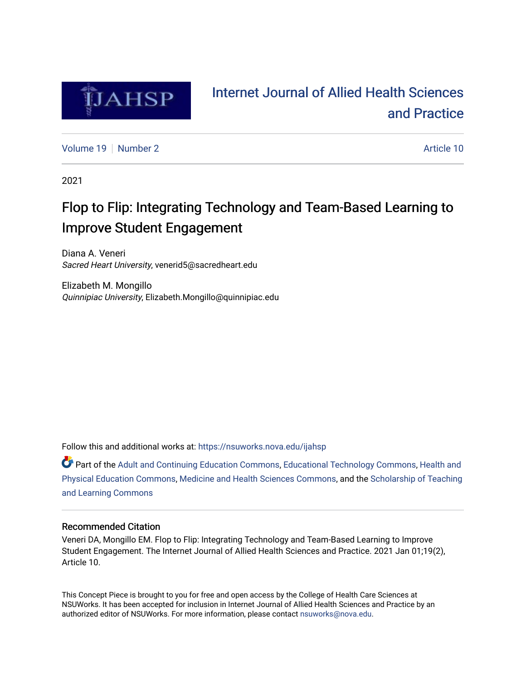

# [Internet Journal of Allied Health Sciences](https://nsuworks.nova.edu/ijahsp)  [and Practice](https://nsuworks.nova.edu/ijahsp)

[Volume 19](https://nsuworks.nova.edu/ijahsp/vol19) [Number 2](https://nsuworks.nova.edu/ijahsp/vol19/iss2) Article 10

2021

# Flop to Flip: Integrating Technology and Team-Based Learning to Improve Student Engagement

Diana A. Veneri Sacred Heart University, venerid5@sacredheart.edu

Elizabeth M. Mongillo Quinnipiac University, Elizabeth.Mongillo@quinnipiac.edu

Follow this and additional works at: [https://nsuworks.nova.edu/ijahsp](https://nsuworks.nova.edu/ijahsp?utm_source=nsuworks.nova.edu%2Fijahsp%2Fvol19%2Fiss2%2F10&utm_medium=PDF&utm_campaign=PDFCoverPages) 

**C** Part of the [Adult and Continuing Education Commons,](http://network.bepress.com/hgg/discipline/1375?utm_source=nsuworks.nova.edu%2Fijahsp%2Fvol19%2Fiss2%2F10&utm_medium=PDF&utm_campaign=PDFCoverPages) [Educational Technology Commons](http://network.bepress.com/hgg/discipline/1415?utm_source=nsuworks.nova.edu%2Fijahsp%2Fvol19%2Fiss2%2F10&utm_medium=PDF&utm_campaign=PDFCoverPages), Health and [Physical Education Commons,](http://network.bepress.com/hgg/discipline/1327?utm_source=nsuworks.nova.edu%2Fijahsp%2Fvol19%2Fiss2%2F10&utm_medium=PDF&utm_campaign=PDFCoverPages) [Medicine and Health Sciences Commons](http://network.bepress.com/hgg/discipline/648?utm_source=nsuworks.nova.edu%2Fijahsp%2Fvol19%2Fiss2%2F10&utm_medium=PDF&utm_campaign=PDFCoverPages), and the [Scholarship of Teaching](http://network.bepress.com/hgg/discipline/1328?utm_source=nsuworks.nova.edu%2Fijahsp%2Fvol19%2Fiss2%2F10&utm_medium=PDF&utm_campaign=PDFCoverPages) [and Learning Commons](http://network.bepress.com/hgg/discipline/1328?utm_source=nsuworks.nova.edu%2Fijahsp%2Fvol19%2Fiss2%2F10&utm_medium=PDF&utm_campaign=PDFCoverPages)

# Recommended Citation

Veneri DA, Mongillo EM. Flop to Flip: Integrating Technology and Team-Based Learning to Improve Student Engagement. The Internet Journal of Allied Health Sciences and Practice. 2021 Jan 01;19(2), Article 10.

This Concept Piece is brought to you for free and open access by the College of Health Care Sciences at NSUWorks. It has been accepted for inclusion in Internet Journal of Allied Health Sciences and Practice by an authorized editor of NSUWorks. For more information, please contact [nsuworks@nova.edu.](mailto:nsuworks@nova.edu)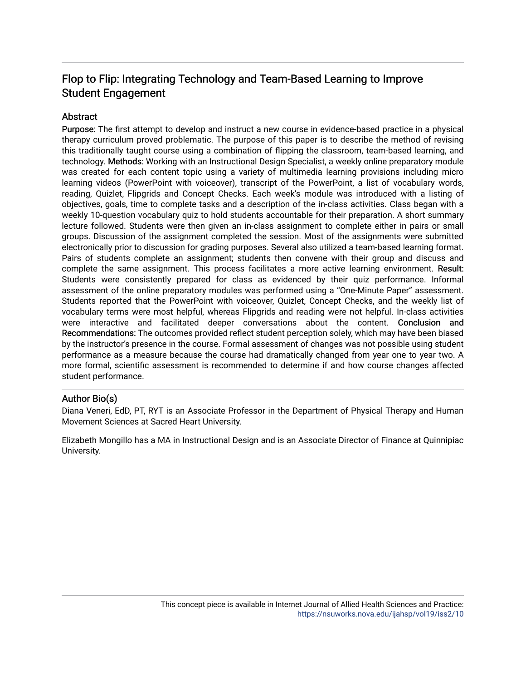# Flop to Flip: Integrating Technology and Team-Based Learning to Improve Student Engagement

# Abstract

Purpose: The first attempt to develop and instruct a new course in evidence-based practice in a physical therapy curriculum proved problematic. The purpose of this paper is to describe the method of revising this traditionally taught course using a combination of flipping the classroom, team-based learning, and technology. Methods: Working with an Instructional Design Specialist, a weekly online preparatory module was created for each content topic using a variety of multimedia learning provisions including micro learning videos (PowerPoint with voiceover), transcript of the PowerPoint, a list of vocabulary words, reading, Quizlet, Flipgrids and Concept Checks. Each week's module was introduced with a listing of objectives, goals, time to complete tasks and a description of the in-class activities. Class began with a weekly 10-question vocabulary quiz to hold students accountable for their preparation. A short summary lecture followed. Students were then given an in-class assignment to complete either in pairs or small groups. Discussion of the assignment completed the session. Most of the assignments were submitted electronically prior to discussion for grading purposes. Several also utilized a team-based learning format. Pairs of students complete an assignment; students then convene with their group and discuss and complete the same assignment. This process facilitates a more active learning environment. Result: Students were consistently prepared for class as evidenced by their quiz performance. Informal assessment of the online preparatory modules was performed using a "One-Minute Paper" assessment. Students reported that the PowerPoint with voiceover, Quizlet, Concept Checks, and the weekly list of vocabulary terms were most helpful, whereas Flipgrids and reading were not helpful. In-class activities were interactive and facilitated deeper conversations about the content. Conclusion and Recommendations: The outcomes provided reflect student perception solely, which may have been biased by the instructor's presence in the course. Formal assessment of changes was not possible using student performance as a measure because the course had dramatically changed from year one to year two. A more formal, scientific assessment is recommended to determine if and how course changes affected student performance.

# Author Bio(s)

Diana Veneri, EdD, PT, RYT is an Associate Professor in the Department of Physical Therapy and Human Movement Sciences at Sacred Heart University.

Elizabeth Mongillo has a MA in Instructional Design and is an Associate Director of Finance at Quinnipiac University.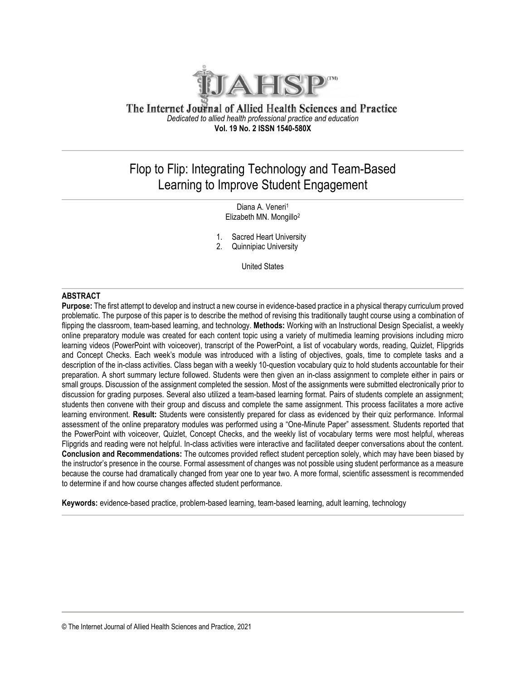

# The Internet Journal of Allied Health Sciences and Practice *Dedicated to allied health professional practice and education* **Vol. 19 No. 2 ISSN 1540-580X**

# Flop to Flip: Integrating Technology and Team-Based Learning to Improve Student Engagement

Diana A. Veneri<sup>1</sup> Elizabeth MN. Mongillo<sup>2</sup>

- 1. Sacred Heart University
- 2. Quinnipiac University

United States

# **ABSTRACT**

**Purpose:** The first attempt to develop and instruct a new course in evidence-based practice in a physical therapy curriculum proved problematic. The purpose of this paper is to describe the method of revising this traditionally taught course using a combination of flipping the classroom, team-based learning, and technology. **Methods:** Working with an Instructional Design Specialist, a weekly online preparatory module was created for each content topic using a variety of multimedia learning provisions including micro learning videos (PowerPoint with voiceover), transcript of the PowerPoint, a list of vocabulary words, reading, Quizlet, Flipgrids and Concept Checks. Each week's module was introduced with a listing of objectives, goals, time to complete tasks and a description of the in-class activities. Class began with a weekly 10-question vocabulary quiz to hold students accountable for their preparation. A short summary lecture followed. Students were then given an in-class assignment to complete either in pairs or small groups. Discussion of the assignment completed the session. Most of the assignments were submitted electronically prior to discussion for grading purposes. Several also utilized a team-based learning format. Pairs of students complete an assignment; students then convene with their group and discuss and complete the same assignment. This process facilitates a more active learning environment. **Result:** Students were consistently prepared for class as evidenced by their quiz performance. Informal assessment of the online preparatory modules was performed using a "One-Minute Paper" assessment. Students reported that the PowerPoint with voiceover, Quizlet, Concept Checks, and the weekly list of vocabulary terms were most helpful, whereas Flipgrids and reading were not helpful. In-class activities were interactive and facilitated deeper conversations about the content. **Conclusion and Recommendations:** The outcomes provided reflect student perception solely, which may have been biased by the instructor's presence in the course. Formal assessment of changes was not possible using student performance as a measure because the course had dramatically changed from year one to year two. A more formal, scientific assessment is recommended to determine if and how course changes affected student performance.

**Keywords:** evidence-based practice, problem-based learning, team-based learning, adult learning, technology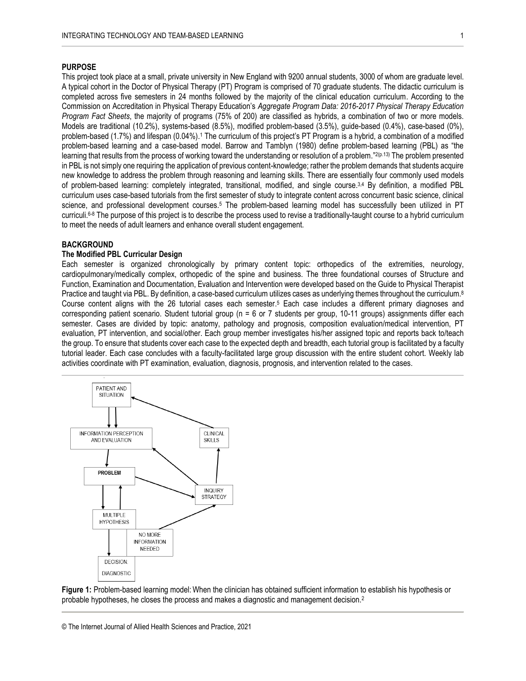# **PURPOSE**

This project took place at a small, private university in New England with 9200 annual students, 3000 of whom are graduate level. A typical cohort in the Doctor of Physical Therapy (PT) Program is comprised of 70 graduate students. The didactic curriculum is completed across five semesters in 24 months followed by the majority of the clinical education curriculum. According to the Commission on Accreditation in Physical Therapy Education's *Aggregate Program Data: 2016-2017 Physical Therapy Education Program Fact Sheets*, the majority of programs (75% of 200) are classified as hybrids, a combination of two or more models. Models are traditional (10.2%), systems-based (8.5%), modified problem-based (3.5%), guide-based (0.4%), case-based (0%), problem-based (1.7%) and lifespan (0.04%). <sup>1</sup> The curriculum of this project's PT Program is a hybrid, a combination of a modified problem-based learning and a case-based model. Barrow and Tamblyn (1980) define problem-based learning (PBL) as "the learning that results from the process of working toward the understanding or resolution of a problem." 2(p.13) The problem presented in PBL is not simply one requiring the application of previous content-knowledge; rather the problem demands that students acquire new knowledge to address the problem through reasoning and learning skills. There are essentially four commonly used models of problem-based learning: completely integrated, transitional, modified, and single course.<sup>3,4</sup> By definition, a modified PBL curriculum uses case-based tutorials from the first semester of study to integrate content across concurrent basic science, clinical science, and professional development courses.<sup>5</sup> The problem-based learning model has successfully been utilized in PT curriculi.<sup>6.8</sup> The purpose of this project is to describe the process used to revise a traditionally-taught course to a hybrid curriculum to meet the needs of adult learners and enhance overall student engagement.

# **BACKGROUND**

# **The Modified PBL Curricular Design**

Each semester is organized chronologically by primary content topic: orthopedics of the extremities, neurology, cardiopulmonary/medically complex, orthopedic of the spine and business. The three foundational courses of Structure and Function, Examination and Documentation, Evaluation and Intervention were developed based on the Guide to Physical Therapist Practice and taught via PBL. By definition, a case-based curriculum utilizes cases as underlying themes throughout the curriculum.<sup>8</sup> Course content aligns with the 26 tutorial cases each semester. <sup>5</sup> Each case includes a different primary diagnoses and corresponding patient scenario. Student tutorial group ( $n = 6$  or 7 students per group, 10-11 groups) assignments differ each semester. Cases are divided by topic: anatomy, pathology and prognosis, composition evaluation/medical intervention, PT evaluation, PT intervention, and social/other. Each group member investigates his/her assigned topic and reports back to/teach the group. To ensure that students cover each case to the expected depth and breadth, each tutorial group is facilitated by a faculty tutorial leader. Each case concludes with a faculty-facilitated large group discussion with the entire student cohort. Weekly lab activities coordinate with PT examination, evaluation, diagnosis, prognosis, and intervention related to the cases.



**Figure 1:** Problem-based learning model: When the clinician has obtained sufficient information to establish his hypothesis or probable hypotheses, he closes the process and makes a diagnostic and management decision.2

<sup>©</sup> The Internet Journal of Allied Health Sciences and Practice, 2021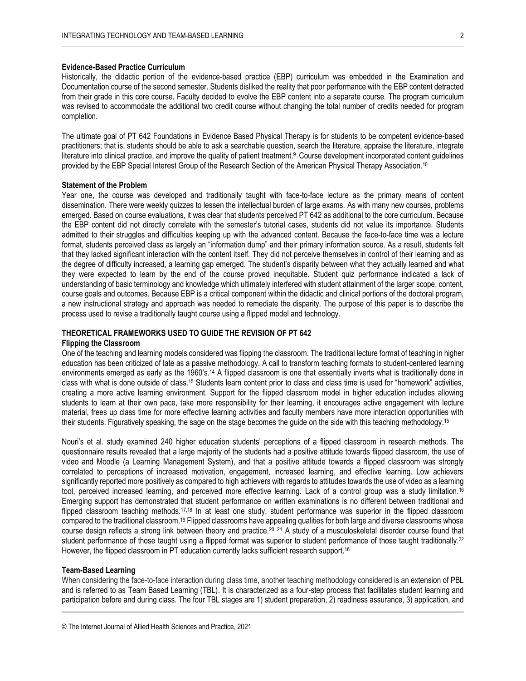# **Evidence-Based Practice Curriculum**

Historically, the didactic portion of the evidence-based practice (EBP) curriculum was embedded in the Examination and Documentation course of the second semester. Students disliked the reality that poor performance with the EBP content detracted from their grade in this core course. Faculty decided to evolve the EBP content into a separate course. The program curriculum was revised to accommodate the additional two credit course without changing the total number of credits needed for program completion.

The ultimate goal of PT 642 Foundations in Evidence Based Physical Therapy is for students to be competent evidence-based practitioners; that is, students should be able to ask a searchable question, search the literature, appraise the literature, integrate literature into clinical practice, and improve the quality of patient treatment.<sup>9</sup> Course development incorporated content guidelines provided by the EBP Special Interest Group of the Research Section of the American Physical Therapy Association. 10

### **Statement of the Problem**

Year one, the course was developed and traditionally taught with face-to-face lecture as the primary means of content dissemination. There were weekly quizzes to lessen the intellectual burden of large exams. As with many new courses, problems emerged. Based on course evaluations, it was clear that students perceived PT 642 as additional to the core curriculum. Because the EBP content did not directly correlate with the semester's tutorial cases, students did not value its importance. Students admitted to their struggles and difficulties keeping up with the advanced content. Because the face-to-face time was a lecture format, students perceived class as largely an "information dump" and their primary information source. As a result, students felt that they lacked significant interaction with the content itself. They did not perceive themselves in control of their learning and as the degree of difficulty increased, a learning gap emerged. The student's disparity between what they actually learned and what they were expected to learn by the end of the course proved inequitable. Student quiz performance indicated a lack of understanding of basic terminology and knowledge which ultimately interfered with student attainment of the larger scope, content, course goals and outcomes. Because EBP is a critical component within the didactic and clinical portions of the doctoral program, a new instructional strategy and approach was needed to remediate the disparity. The purpose of this paper is to describe the process used to revise a traditionally taught course using a flipped model and technology.

# **THEORETICAL FRAMEWORKS USED TO GUIDE THE REVISION OF PT 642**

# **Flipping the Classroom**

One of the teaching and learning models considered was flipping the classroom. The traditional lecture format of teaching in higher education has been criticized of late as a passive methodology. A call to transform teaching formats to student-centered learning environments emerged as early as the 1960's.<sup>14</sup> A flipped classroom is one that essentially inverts what is traditionally done in class with what is done outside of class.<sup>15</sup> Students learn content prior to class and class time is used for "homework" activities, creating a more active learning environment. Support for the flipped classroom model in higher education includes allowing students to learn at their own pace, take more responsibility for their learning, it encourages active engagement with lecture material, frees up class time for more effective learning activities and faculty members have more interaction opportunities with their students. Figuratively speaking, the sage on the stage becomes the guide on the side with this teaching methodology.<sup>15</sup>

Nouri's et al. study examined 240 higher education students' perceptions of a flipped classroom in research methods. The questionnaire results revealed that a large majority of the students had a positive attitude towards flipped classroom, the use of video and Moodle (a Learning Management System), and that a positive attitude towards a flipped classroom was strongly correlated to perceptions of increased motivation, engagement, increased learning, and effective learning. Low achievers significantly reported more positively as compared to high achievers with regards to attitudes towards the use of video as a learning tool, perceived increased learning, and perceived more effective learning. Lack of a control group was a study limitation.<sup>16</sup> Emerging support has demonstrated that student performance on written examinations is no different between traditional and flipped classroom teaching methods.<sup>17,18</sup> In at least one study, student performance was superior in the flipped classroom compared to the traditional classroom.<sup>19</sup> Flipped classrooms have appealing qualities for both large and diverse classrooms whose course design reflects a strong link between theory and practice.<sup>20, 21</sup> A study of a musculoskeletal disorder course found that student performance of those taught using a flipped format was superior to student performance of those taught traditionally.<sup>22</sup> However, the flipped classroom in PT education currently lacks sufficient research support.<sup>16</sup>

# **Team-Based Learning**

When considering the face-to-face interaction during class time, another teaching methodology considered is an extension of PBL and is referred to as Team Based Learning (TBL). It is characterized as a four-step process that facilitates student learning and participation before and during class. The four TBL stages are 1) student preparation, 2) readiness assurance, 3) application, and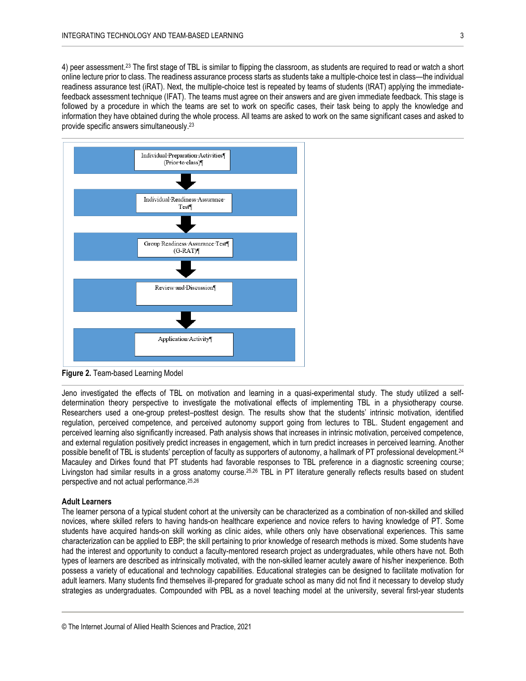4) peer assessment.<sup>23</sup> The first stage of TBL is similar to flipping the classroom, as students are required to read or watch a short online lecture prior to class. The readiness assurance process starts as students take a multiple-choice test in class—the individual readiness assurance test (iRAT). Next, the multiple-choice test is repeated by teams of students (tRAT) applying the immediatefeedback assessment technique (IFAT). The teams must agree on their answers and are given immediate feedback. This stage is followed by a procedure in which the teams are set to work on specific cases, their task being to apply the knowledge and information they have obtained during the whole process. All teams are asked to work on the same significant cases and asked to provide specific answers simultaneously. 23



**Figure 2.** Team-based Learning Model

Jeno investigated the effects of TBL on motivation and learning in a quasi-experimental study. The study utilized a selfdetermination theory perspective to investigate the motivational effects of implementing TBL in a physiotherapy course. Researchers used a one-group pretest–posttest design. The results show that the students' intrinsic motivation, identified regulation, perceived competence, and perceived autonomy support going from lectures to TBL. Student engagement and perceived learning also significantly increased. Path analysis shows that increases in intrinsic motivation, perceived competence, and external regulation positively predict increases in engagement, which in turn predict increases in perceived learning. Another possible benefit of TBL is students' perception of faculty as supporters of autonomy, a hallmark of PT professional development.<sup>24</sup> Macauley and Dirkes found that PT students had favorable responses to TBL preference in a diagnostic screening course; Livingston had similar results in a gross anatomy course.<sup>25,26</sup> TBL in PT literature generally reflects results based on student perspective and not actual performance.25,26

# **Adult Learners**

The learner persona of a typical student cohort at the university can be characterized as a combination of non-skilled and skilled novices, where skilled refers to having hands-on healthcare experience and novice refers to having knowledge of PT. Some students have acquired hands-on skill working as clinic aides, while others only have observational experiences. This same characterization can be applied to EBP; the skill pertaining to prior knowledge of research methods is mixed. Some students have had the interest and opportunity to conduct a faculty-mentored research project as undergraduates, while others have not. Both types of learners are described as intrinsically motivated, with the non-skilled learner acutely aware of his/her inexperience. Both possess a variety of educational and technology capabilities. Educational strategies can be designed to facilitate motivation for adult learners. Many students find themselves ill-prepared for graduate school as many did not find it necessary to develop study strategies as undergraduates. Compounded with PBL as a novel teaching model at the university, several first-year students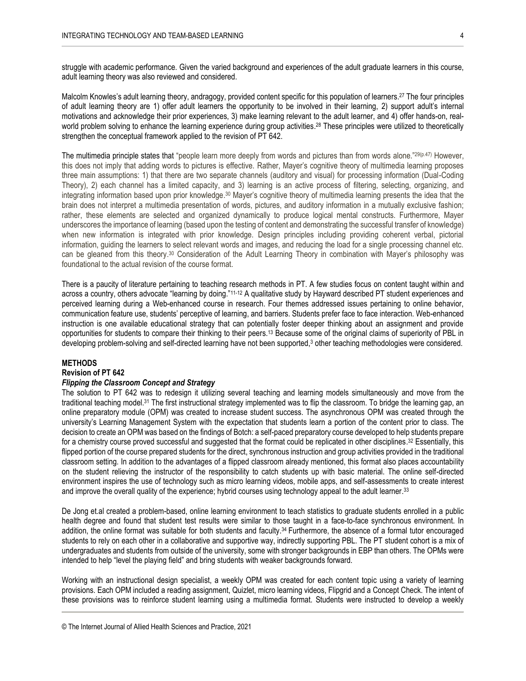struggle with academic performance. Given the varied background and experiences of the adult graduate learners in this course, adult learning theory was also reviewed and considered.

Malcolm Knowles's adult learning theory, andragogy, provided content specific for this population of learners.<sup>27</sup> The four principles of adult learning theory are 1) offer adult learners the opportunity to be involved in their learning, 2) support adult's internal motivations and acknowledge their prior experiences, 3) make learning relevant to the adult learner, and 4) offer hands-on, realworld problem solving to enhance the learning experience during group activities. <sup>28</sup> These principles were utilized to theoretically strengthen the conceptual framework applied to the revision of PT 642.

The multimedia principle states that "people learn more deeply from words and pictures than from words alone."29(p.47) However, this does not imply that adding words to pictures is effective. Rather, Mayer's cognitive theory of multimedia learning proposes three main assumptions: 1) that there are two separate channels (auditory and visual) for processing information (Dual-Coding Theory), 2) each channel has a limited capacity, and 3) learning is an active process of filtering, selecting, organizing, and integrating information based upon prior knowledge.<sup>30</sup> Mayer's cognitive theory of multimedia learning presents the idea that the brain does not interpret a multimedia presentation of words, pictures, and auditory information in a mutually exclusive fashion; rather, these elements are selected and organized dynamically to produce logical mental constructs. Furthermore, Mayer underscores the importance of learning (based upon the testing of content and demonstrating the successful transfer of knowledge) when new information is integrated with prior knowledge. Design principles including providing coherent verbal, pictorial information, guiding the learners to select relevant words and images, and reducing the load for a single processing channel etc. can be gleaned from this theory.<sup>30</sup> Consideration of the Adult Learning Theory in combination with Mayer's philosophy was foundational to the actual revision of the course format.

There is a paucity of literature pertaining to teaching research methods in PT. A few studies focus on content taught within and across a country, others advocate "learning by doing."11-12 A qualitative study by Hayward described PT student experiences and perceived learning during a Web-enhanced course in research. Four themes addressed issues pertaining to online behavior, communication feature use, students' perceptive of learning, and barriers. Students prefer face to face interaction. Web-enhanced instruction is one available educational strategy that can potentially foster deeper thinking about an assignment and provide opportunities for students to compare their thinking to their peers.<sup>13</sup> Because some of the original claims of superiority of PBL in developing problem-solving and self-directed learning have not been supported,<sup>3</sup> other teaching methodologies were considered.

#### **METHODS**

# **Revision of PT 642**

# *Flipping the Classroom Concept and Strategy*

The solution to PT 642 was to redesign it utilizing several teaching and learning models simultaneously and move from the traditional teaching model.<sup>31</sup> The first instructional strategy implemented was to flip the classroom. To bridge the learning gap, an online preparatory module (OPM) was created to increase student success. The asynchronous OPM was created through the university's Learning Management System with the expectation that students learn a portion of the content prior to class. The decision to create an OPM was based on the findings of Botch: a self-paced preparatory course developed to help students prepare for a chemistry course proved successful and suggested that the format could be replicated in other disciplines. <sup>32</sup> Essentially, this flipped portion of the course prepared students for the direct, synchronous instruction and group activities provided in the traditional classroom setting. In addition to the advantages of a flipped classroom already mentioned, this format also places accountability on the student relieving the instructor of the responsibility to catch students up with basic material. The online self-directed environment inspires the use of technology such as micro learning videos, mobile apps, and self-assessments to create interest and improve the overall quality of the experience; hybrid courses using technology appeal to the adult learner.<sup>33</sup>

De Jong et.al created a problem-based, online learning environment to teach statistics to graduate students enrolled in a public health degree and found that student test results were similar to those taught in a face-to-face synchronous environment. In addition, the online format was suitable for both students and faculty. <sup>34</sup>Furthermore, the absence of a formal tutor encouraged students to rely on each other in a collaborative and supportive way, indirectly supporting PBL. The PT student cohort is a mix of undergraduates and students from outside of the university, some with stronger backgrounds in EBP than others. The OPMs were intended to help "level the playing field" and bring students with weaker backgrounds forward.

Working with an instructional design specialist, a weekly OPM was created for each content topic using a variety of learning provisions. Each OPM included a reading assignment, Quizlet, micro learning videos, Flipgrid and a Concept Check. The intent of these provisions was to reinforce student learning using a multimedia format. Students were instructed to develop a weekly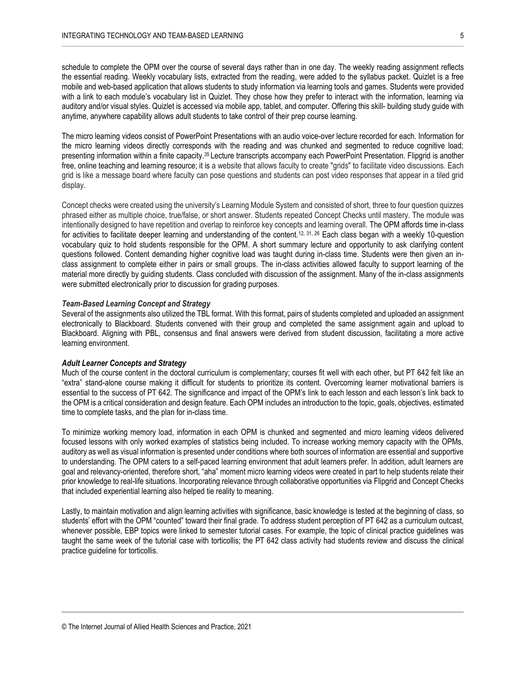schedule to complete the OPM over the course of several days rather than in one day. The weekly reading assignment reflects the essential reading. Weekly vocabulary lists, extracted from the reading, were added to the syllabus packet. Quizlet is a free mobile and web-based application that allows students to study information via learning tools and games. Students were provided with a link to each module's vocabulary list in Quizlet. They chose how they prefer to interact with the information, learning via auditory and/or visual styles. Quizlet is accessed via mobile app, tablet, and computer. Offering this skill- building study guide with anytime, anywhere capability allows adult students to take control of their prep course learning.

The micro learning videos consist of PowerPoint Presentations with an audio voice-over lecture recorded for each. Information for the micro learning videos directly corresponds with the reading and was chunked and segmented to reduce cognitive load; presenting information within a finite capacity.<sup>35</sup> Lecture transcripts accompany each PowerPoint Presentation. Flipgrid is another free, online teaching and learning resource; it is a website that allows faculty to create "grids" to facilitate video discussions. Each grid is like a message board where faculty can pose questions and students can post video responses that appear in a tiled grid display.

Concept checks were created using the university's Learning Module System and consisted of short, three to four question quizzes phrased either as multiple choice, true/false, or short answer. Students repeated Concept Checks until mastery. The module was intentionally designed to have repetition and overlap to reinforce key concepts and learning overall. The OPM affords time in-class for activities to facilitate deeper learning and understanding of the content.<sup>12, 31, 26</sup> Each class began with a weekly 10-question vocabulary quiz to hold students responsible for the OPM. A short summary lecture and opportunity to ask clarifying content questions followed. Content demanding higher cognitive load was taught during in-class time. Students were then given an inclass assignment to complete either in pairs or small groups. The in-class activities allowed faculty to support learning of the material more directly by guiding students. Class concluded with discussion of the assignment. Many of the in-class assignments were submitted electronically prior to discussion for grading purposes.

# *Team-Based Learning Concept and Strategy*

Several of the assignments also utilized the TBL format. With this format, pairs of students completed and uploaded an assignment electronically to Blackboard. Students convened with their group and completed the same assignment again and upload to Blackboard. Aligning with PBL, consensus and final answers were derived from student discussion, facilitating a more active learning environment.

#### *Adult Learner Concepts and Strategy*

Much of the course content in the doctoral curriculum is complementary; courses fit well with each other, but PT 642 felt like an "extra" stand-alone course making it difficult for students to prioritize its content. Overcoming learner motivational barriers is essential to the success of PT 642. The significance and impact of the OPM's link to each lesson and each lesson's link back to the OPM is a critical consideration and design feature. Each OPM includes an introduction to the topic, goals, objectives, estimated time to complete tasks, and the plan for in-class time.

To minimize working memory load, information in each OPM is chunked and segmented and micro learning videos delivered focused lessons with only worked examples of statistics being included. To increase working memory capacity with the OPMs, auditory as well as visual information is presented under conditions where both sources of information are essential and supportive to understanding. The OPM caters to a self-paced learning environment that adult learners prefer. In addition, adult learners are goal and relevancy-oriented, therefore short, "aha" moment micro learning videos were created in part to help students relate their prior knowledge to real-life situations. Incorporating relevance through collaborative opportunities via Flipgrid and Concept Checks that included experiential learning also helped tie reality to meaning.

Lastly, to maintain motivation and align learning activities with significance, basic knowledge is tested at the beginning of class, so students' effort with the OPM "counted" toward their final grade. To address student perception of PT 642 as a curriculum outcast, whenever possible, EBP topics were linked to semester tutorial cases. For example, the topic of clinical practice guidelines was taught the same week of the tutorial case with torticollis; the PT 642 class activity had students review and discuss the clinical practice guideline for torticollis.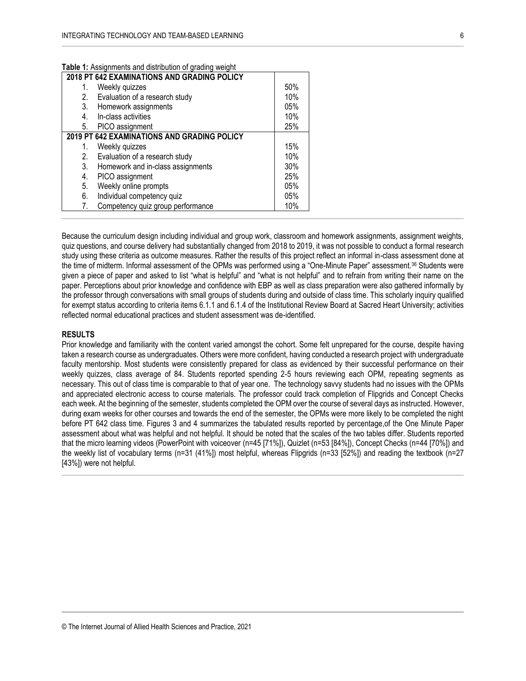| 2018 PT 642 EXAMINATIONS AND GRADING POLICY |                                   |     |
|---------------------------------------------|-----------------------------------|-----|
|                                             | Weekly quizzes                    | 50% |
| 2.                                          | Evaluation of a research study    | 10% |
| 3.                                          | Homework assignments              | 05% |
| 4.                                          | In-class activities               | 10% |
| 5.                                          | PICO assignment                   | 25% |
| 2019 PT 642 EXAMINATIONS AND GRADING POLICY |                                   |     |
|                                             | Weekly quizzes                    | 15% |
| 2.                                          | Evaluation of a research study    | 10% |
| 3.                                          | Homework and in-class assignments | 30% |
| 4.                                          | PICO assignment                   | 25% |
| 5.                                          | Weekly online prompts             | 05% |
| 6.                                          | Individual competency quiz        | 05% |
| 7.                                          | Competency quiz group performance | 10% |

**Table 1:** Assignments and distribution of grading weight

Because the curriculum design including individual and group work, classroom and homework assignments, assignment weights, quiz questions, and course delivery had substantially changed from 2018 to 2019, it was not possible to conduct a formal research study using these criteria as outcome measures. Rather the results of this project reflect an informal in-class assessment done at the time of midterm. Informal assessment of the OPMs was performed using a "One-Minute Paper" assessment.<sup>36</sup> Students were given a piece of paper and asked to list "what is helpful" and "what is not helpful" and to refrain from writing their name on the paper. Perceptions about prior knowledge and confidence with EBP as well as class preparation were also gathered informally by the professor through conversations with small groups of students during and outside of class time. This scholarly inquiry qualified for exempt status according to criteria items 6.1.1 and 6.1.4 of the Institutional Review Board at Sacred Heart University; activities reflected normal educational practices and student assessment was de-identified.

### **RESULTS**

Prior knowledge and familiarity with the content varied amongst the cohort. Some felt unprepared for the course, despite having taken a research course as undergraduates. Others were more confident, having conducted a research project with undergraduate faculty mentorship. Most students were consistently prepared for class as evidenced by their successful performance on their weekly quizzes, class average of 84. Students reported spending 2-5 hours reviewing each OPM, repeating segments as necessary. This out of class time is comparable to that of year one. The technology savvy students had no issues with the OPMs and appreciated electronic access to course materials. The professor could track completion of Flipgrids and Concept Checks each week. At the beginning of the semester, students completed the OPM over the course of several days as instructed. However, during exam weeks for other courses and towards the end of the semester, the OPMs were more likely to be completed the night before PT 642 class time. Figures 3 and 4 summarizes the tabulated results reported by percentage,of the One Minute Paper assessment about what was helpful and not helpful. It should be noted that the scales of the two tables differ. Students reported that the micro learning videos (PowerPoint with voiceover (n=45 [71%]), Quizlet (n=53 [84%]), Concept Checks (n=44 [70%]) and the weekly list of vocabulary terms (n=31 (41%]) most helpful, whereas Flipgrids (n=33 [52%]) and reading the textbook (n=27 [43%]) were not helpful.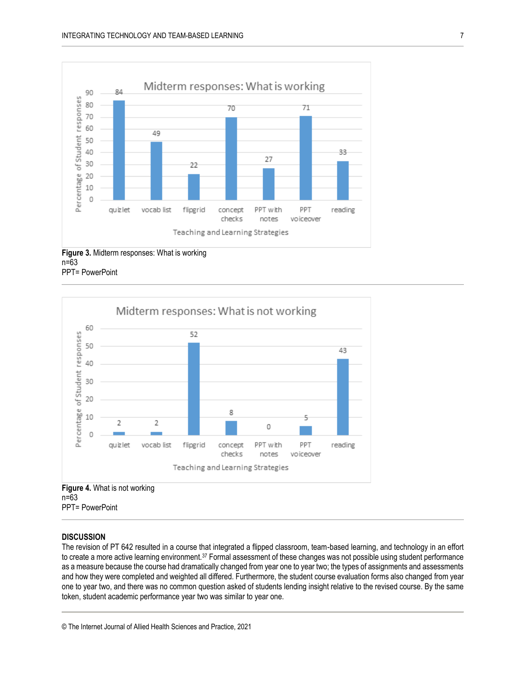

**Figure 3.** Midterm responses: What is working n=63 PPT= PowerPoint



PPT= PowerPoint

#### **DISCUSSION**

The revision of PT 642 resulted in a course that integrated a flipped classroom, team-based learning, and technology in an effort to create a more active learning environment.<sup>37</sup> Formal assessment of these changes was not possible using student performance as a measure because the course had dramatically changed from year one to year two; the types of assignments and assessments and how they were completed and weighted all differed. Furthermore, the student course evaluation forms also changed from year one to year two, and there was no common question asked of students lending insight relative to the revised course. By the same token, student academic performance year two was similar to year one.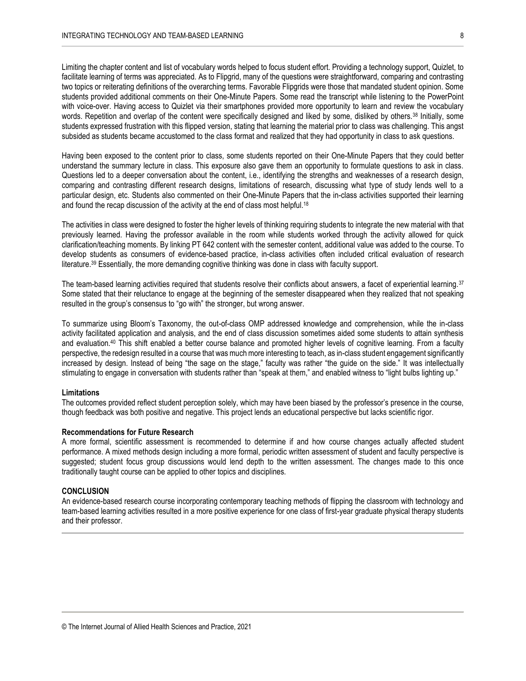Limiting the chapter content and list of vocabulary words helped to focus student effort. Providing a technology support, Quizlet, to facilitate learning of terms was appreciated. As to Flipgrid, many of the questions were straightforward, comparing and contrasting two topics or reiterating definitions of the overarching terms. Favorable Flipgrids were those that mandated student opinion. Some students provided additional comments on their One-Minute Papers. Some read the transcript while listening to the PowerPoint with voice-over. Having access to Quizlet via their smartphones provided more opportunity to learn and review the vocabulary words. Repetition and overlap of the content were specifically designed and liked by some, disliked by others.<sup>38</sup> Initially, some students expressed frustration with this flipped version, stating that learning the material prior to class was challenging. This angst subsided as students became accustomed to the class format and realized that they had opportunity in class to ask questions.

Having been exposed to the content prior to class, some students reported on their One-Minute Papers that they could better understand the summary lecture in class. This exposure also gave them an opportunity to formulate questions to ask in class. Questions led to a deeper conversation about the content, i.e., identifying the strengths and weaknesses of a research design, comparing and contrasting different research designs, limitations of research, discussing what type of study lends well to a particular design, etc. Students also commented on their One-Minute Papers that the in-class activities supported their learning and found the recap discussion of the activity at the end of class most helpful.<sup>18</sup>

The activities in class were designed to foster the higher levels of thinking requiring students to integrate the new material with that previously learned. Having the professor available in the room while students worked through the activity allowed for quick clarification/teaching moments. By linking PT 642 content with the semester content, additional value was added to the course. To develop students as consumers of evidence-based practice, in-class activities often included critical evaluation of research literature.<sup>39</sup> Essentially, the more demanding cognitive thinking was done in class with faculty support.

The team-based learning activities required that students resolve their conflicts about answers, a facet of experiential learning.<sup>37</sup> Some stated that their reluctance to engage at the beginning of the semester disappeared when they realized that not speaking resulted in the group's consensus to "go with" the stronger, but wrong answer.

To summarize using Bloom's Taxonomy, the out-of-class OMP addressed knowledge and comprehension, while the in-class activity facilitated application and analysis, and the end of class discussion sometimes aided some students to attain synthesis and evaluation.<sup>40</sup> This shift enabled a better course balance and promoted higher levels of cognitive learning. From a faculty perspective, the redesign resulted in a course that was much more interesting to teach, as in-class student engagement significantly increased by design. Instead of being "the sage on the stage," faculty was rather "the guide on the side." It was intellectually stimulating to engage in conversation with students rather than "speak at them," and enabled witness to "light bulbs lighting up."

#### **Limitations**

The outcomes provided reflect student perception solely, which may have been biased by the professor's presence in the course, though feedback was both positive and negative. This project lends an educational perspective but lacks scientific rigor.

# **Recommendations for Future Research**

A more formal, scientific assessment is recommended to determine if and how course changes actually affected student performance. A mixed methods design including a more formal, periodic written assessment of student and faculty perspective is suggested; student focus group discussions would lend depth to the written assessment. The changes made to this once traditionally taught course can be applied to other topics and disciplines.

#### **CONCLUSION**

An evidence-based research course incorporating contemporary teaching methods of flipping the classroom with technology and team-based learning activities resulted in a more positive experience for one class of first-year graduate physical therapy students and their professor.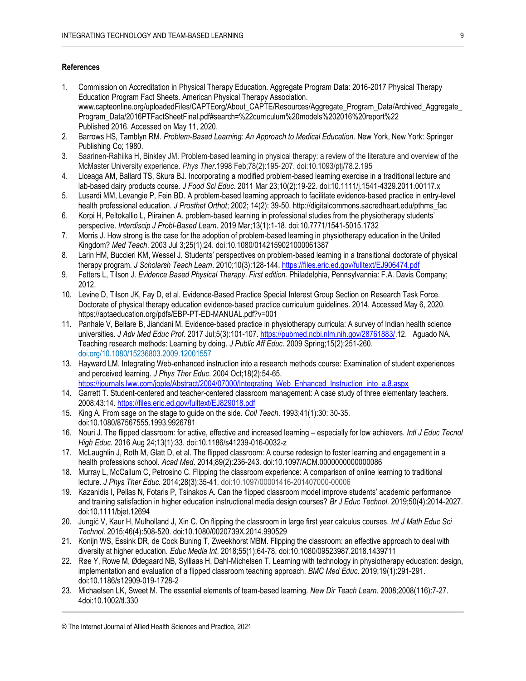# **References**

- 1. Commission on Accreditation in Physical Therapy Education. Aggregate Program Data: 2016-2017 Physical Therapy Education Program Fact Sheets. American Physical Therapy Association. www.capteonline.org/uploadedFiles/CAPTEorg/About\_CAPTE/Resources/Aggregate\_Program\_Data/Archived\_Aggregate Program\_Data/2016PTFactSheetFinal.pdf#search=%22curriculum%20models%202016%20report%22 Published 2016. Accessed on May 11, 2020.
- 2. Barrows HS, Tamblyn RM. *Problem-Based Learning: An Approach to Medical Education.* New York, New York: Springer Publishing Co; 1980.
- 3. Saarinen-Rahiika H, Binkley JM. Problem-based learning in physical therapy: a review of the literature and overview of the McMaster University experience. *Phys Ther*.1998 Feb;78(2):195‐207. doi:10.1093/ptj/78.2.195
- 4. Liceaga AM, Ballard TS, Skura BJ. Incorporating a modified problem-based learning exercise in a traditional lecture and lab-based dairy products course. *J Food Sci Educ*. 2011 Mar 23;10(2):19-22. doi:10.1111/j.1541-4329.2011.00117.x
- 5. Lusardi MM, Levangie P, Fein BD. A problem-based learning approach to facilitate evidence-based practice in entry-level health professional education. *J Prosthet Orthot*; 2002; 14(2): 39-50. http://digitalcommons.sacredheart.edu/pthms\_fac
- 6. Korpi H, Peltokallio L, Piirainen A. problem-based learning in professional studies from the physiotherapy students' perspective. *Interdiscip J Probl-Based Learn*. 2019 Mar;13(1):1-18. doi:10.7771/1541-5015.1732
- 7. Morris J. How strong is the case for the adoption of problem-based learning in physiotherapy education in the United Kingdom? *Med Teach*. 2003 Jul 3;25(1):24. doi:10.1080/0142159021000061387
- 8. Larin HM, Buccieri KM, Wessel J. Students' perspectives on problem-based learning in a transitional doctorate of physical therapy program. *J Scholarsh Teach Learn*. 2010;10(3):128-144[. https://files.eric.ed.gov/fulltext/EJ906474.pdf](https://files.eric.ed.gov/fulltext/EJ906474.pdf)
- 9. Fetters L, Tilson J. *Evidence Based Physical Therapy*. *First edition.* Philadelphia, Pennsylvannia: F.A. Davis Company; 2012.
- 10. Levine D, Tilson JK, Fay D, et al. Evidence-Based Practice Special Interest Group Section on Research Task Force. Doctorate of physical therapy education evidence-based practice curriculum guidelines. 2014. Accessed May 6, 2020. https://aptaeducation.org/pdfs/EBP-PT-ED-MANUAL.pdf?v=001
- 11. Panhale V, Bellare B, Jiandani M. Evidence-based practice in physiotherapy curricula: A survey of Indian health science universities. *J Adv Med Educ Prof*. 2017 Jul;5(3):101-107[. https://pubmed.ncbi.nlm.nih.gov/28761883/.](https://pubmed.ncbi.nlm.nih.gov/28761883/)12. Aguado NA. Teaching research methods: Learning by doing. *J Public Aff Educ*. 2009 Spring;15(2):251-260. [doi.org/10.1080/15236803.2009.12001557](https://doi.org/10.1080/15236803.2009.12001557)
- 13. Hayward LM. Integrating Web-enhanced instruction into a research methods course: Examination of student experiences and perceived learning. *J Phys Ther Educ*. 2004 Oct;18(2):54-65. [https://journals.lww.com/jopte/Abstract/2004/07000/Integrating\\_Web\\_Enhanced\\_Instruction\\_into\\_a.8.aspx](https://journals.lww.com/jopte/Abstract/2004/07000/Integrating_Web_Enhanced_Instruction_into_a.8.aspx)
- 14. Garrett T. Student-centered and teacher-centered classroom management: A case study of three elementary teachers. 2008;43:14.<https://files.eric.ed.gov/fulltext/EJ829018.pdf>
- 15. King A. From sage on the stage to guide on the side. *Coll Teach*. 1993;41(1):30: 30-35. doi:10.1080/87567555.1993.9926781
- 16. Nouri J. The flipped classroom: for active, effective and increased learning especially for low achievers. *Intl J Educ Tecnol High Educ*. 2016 Aug 24;13(1):33. doi:10.1186/s41239-016-0032-z
- 17. McLaughlin J, Roth M, Glatt D, et al. The flipped classroom: A course redesign to foster learning and engagement in a health professions school. *Acad Med*. 2014;89(2):236-243. doi:10.1097/ACM.0000000000000086
- 18. Murray L, McCallum C, Petrosino C. Flipping the classroom experience: A comparison of online learning to traditional lecture. *J Phys Ther Educ.* 2014;28(3):35-41. doi:10.1097/00001416-201407000-00006
- 19. Kazanidis I, Pellas N, Fotaris P, Tsinakos A. Can the flipped classroom model improve students' academic performance and training satisfaction in higher education instructional media design courses? *Br J Educ Technol*. 2019;50(4):2014-2027. doi:10.1111/bjet.12694
- 20. Jungić V, Kaur H, Mulholland J, Xin C. On flipping the classroom in large first year calculus courses. *Int J Math Educ Sci Technol*. 2015;46(4):508-520. doi:10.1080/0020739X.2014.990529
- 21. Konijn WS, Essink DR, de Cock Buning T, Zweekhorst MBM. Flipping the classroom: an effective approach to deal with diversity at higher education. *Educ Media Int*. 2018;55(1):64-78. doi:10.1080/09523987.2018.1439711
- 22. Røe Y, Rowe M, Ødegaard NB, Sylliaas H, Dahl-Michelsen T. Learning with technology in physiotherapy education: design, implementation and evaluation of a flipped classroom teaching approach. *BMC Med Educ*. 2019;19(1):291-291. doi:10.1186/s12909-019-1728-2
- 23. Michaelsen LK, Sweet M. The essential elements of team-based learning. *New Dir Teach Learn*. 2008;2008(116):7-27. 4doi:10.1002/tl.330

<sup>©</sup> The Internet Journal of Allied Health Sciences and Practice, 2021